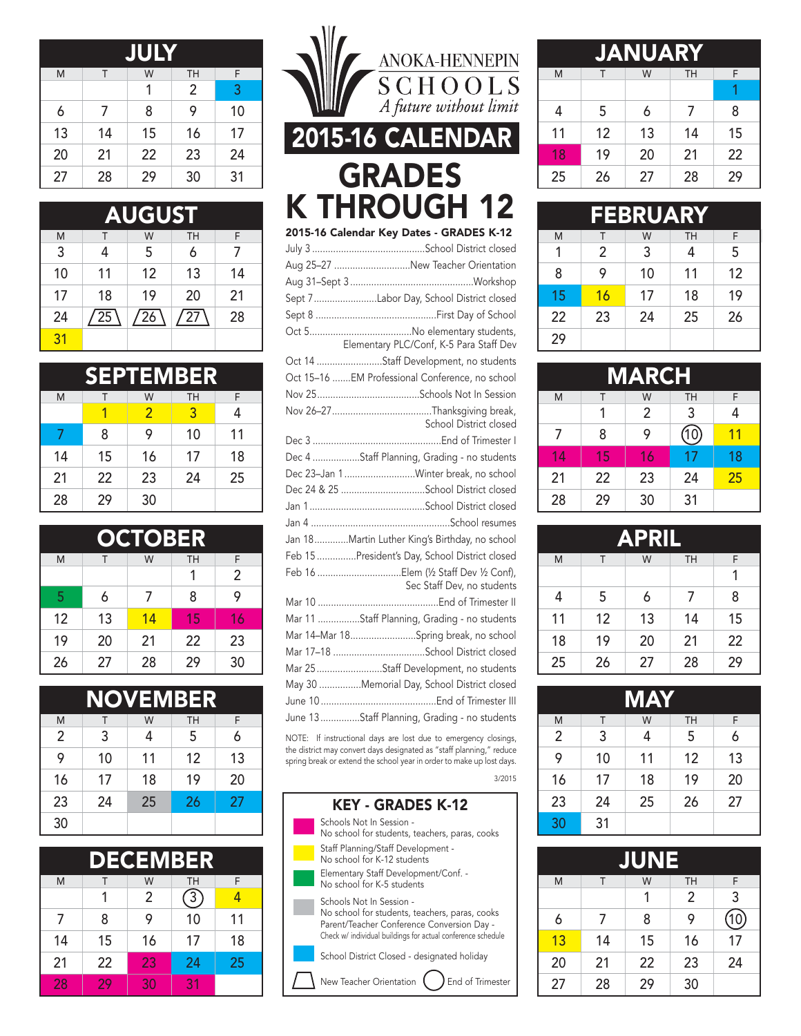| <b>JULY</b> |    |    |           |    |
|-------------|----|----|-----------|----|
| M           | Τ  | W  | <b>TH</b> | F  |
|             |    |    | 2         | 3  |
| 6           | 7  | 8  | 9         | 10 |
| 13          | 14 | 15 | 16        | 17 |
| 20          | 21 | 22 | 23        | 24 |
| 27          | 28 | 29 | 30        | 31 |

| <b>AUGUST</b> |     |     |           |    |
|---------------|-----|-----|-----------|----|
| M             |     | W   | <b>TH</b> | F  |
| 3             | 4   | 5   | 6         |    |
| 10            | 11  | 12  | 13        | 14 |
| 17            | 18  | 19  | 20        | 21 |
| 24            | /25 | /26 | / 27      | 28 |
| 31            |     |     |           |    |

|    |    | <b>SEPTEMBER</b> |           |    |
|----|----|------------------|-----------|----|
| M  | т  | W                | <b>TH</b> | F  |
|    |    | $\overline{2}$   | 3         | 4  |
|    | 8  | 9                | 10        | 11 |
| 14 | 15 | 16               | 17        | 18 |
| 21 | 22 | 23               | 24        | 25 |
| 28 | 29 | 30               |           |    |

| <b>OCTOBER</b> |    |    |           |                |
|----------------|----|----|-----------|----------------|
| M              | Т  | W  | <b>TH</b> | F              |
|                |    |    | 1         | $\mathfrak{p}$ |
| 5              | 6  | 7  | 8         | 9              |
| 12             | 13 | 14 | 15        | 16             |
| 19             | 20 | 21 | 22        | 23             |
| 26             | 27 | 28 | 29        | 30             |

| <b>NOVEMBER</b> |    |    |           |    |  |
|-----------------|----|----|-----------|----|--|
| M               | Τ  | W  | <b>TH</b> | F  |  |
| 2               | 3  | 4  | 5         | 6  |  |
| 9               | 10 | 11 | 12        | 13 |  |
| 16              | 17 | 18 | 19        | 20 |  |
| 23              | 24 | 25 | 26        | 27 |  |
| 30              |    |    |           |    |  |

| <b>DECEMBER</b> |    |                |            |    |  |
|-----------------|----|----------------|------------|----|--|
| M               | т  | W              | <b>TH</b>  | F  |  |
|                 | 1  | $\mathfrak{p}$ | $\sqrt{3}$ | 4  |  |
| $\overline{7}$  | 8  | 9              | 10         | 11 |  |
| 14              | 15 | 16             | 17         | 18 |  |
| 21              | 22 | 23             | 24         | 25 |  |
| 28              | 29 | 30             | 31         |    |  |



the district may convert days designated as "staff planning," reduce spring break or extend the school year in order to make up lost days.



| <b>JANUARY</b> |    |    |           |    |
|----------------|----|----|-----------|----|
| M              | T  | W  | <b>TH</b> | F  |
|                |    |    |           |    |
| 4              | 5  | 6  | 7         | 8  |
| 11             | 12 | 13 | 14        | 15 |
| 18             | 19 | 20 | 21        | 22 |
| 25             | 26 | 27 | 28        | 29 |

| <b>FEBRUARY</b> |                |    |           |    |
|-----------------|----------------|----|-----------|----|
| M               | т              | W  | <b>TH</b> | F  |
| 1               | $\mathfrak{p}$ | 3  | 4         | 5  |
| 8               | 9              | 10 | 11        | 12 |
| 15              | 16             | 17 | 18        | 19 |
| 22              | 23             | 24 | 25        | 26 |
| 29              |                |    |           |    |

| <b>MARCH</b>   |    |    |      |    |
|----------------|----|----|------|----|
| M              | т  | W  | TH   | F  |
|                |    | 2  | 3    | 4  |
| $\overline{7}$ | 8  | 9  | (10) | 11 |
| 14             | 15 | 16 | 17   | 18 |
| 21             | 22 | 23 | 24   | 25 |
| 28             | 29 | 30 | 31   |    |

| <b>APRIL</b> |    |    |           |    |
|--------------|----|----|-----------|----|
| M            | Т  | W  | <b>TH</b> | F  |
|              |    |    |           |    |
| 4            | 5  | 6  | 7         | 8  |
| 11           | 12 | 13 | 14        | 15 |
| 18           | 19 | 20 | 21        | 22 |
| 25           | 26 | 27 | 28        | 29 |

| <b>MAY</b>     |    |    |    |    |  |
|----------------|----|----|----|----|--|
| M              | Τ  | W  | TH | F  |  |
| $\overline{2}$ | 3  | 4  | 5  | 6  |  |
| 9              | 10 | 11 | 12 | 13 |  |
| 16             | 17 | 18 | 19 | 20 |  |
| 23             | 24 | 25 | 26 | 27 |  |
| 30             | 31 |    |    |    |  |

| JUNE |    |    |    |                 |
|------|----|----|----|-----------------|
| M    | Τ  | W  | TH | F               |
|      |    | 1  | 2  | 3               |
| 6    | 7  | 8  | 9  | 10 <sub>l</sub> |
| 13   | 14 | 15 | 16 | 17              |
| 20   | 21 | 22 | 23 | 24              |
| 27   | 28 | 29 | 30 |                 |